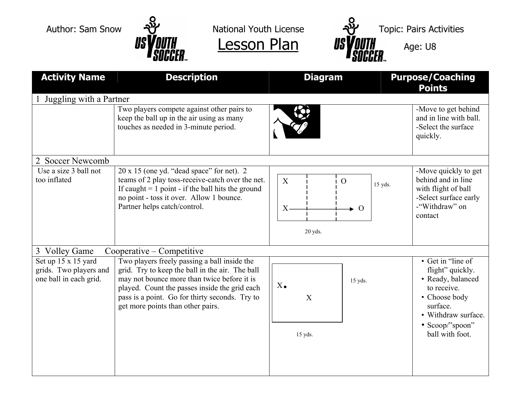



| <b>Activity Name</b>                                                    | <b>Description</b>                                                                                                                                                                                                                                                                     | <b>Diagram</b>                                                            | <b>Purpose/Coaching</b><br><b>Points</b>                                                                                                                            |  |
|-------------------------------------------------------------------------|----------------------------------------------------------------------------------------------------------------------------------------------------------------------------------------------------------------------------------------------------------------------------------------|---------------------------------------------------------------------------|---------------------------------------------------------------------------------------------------------------------------------------------------------------------|--|
| Juggling with a Partner                                                 |                                                                                                                                                                                                                                                                                        |                                                                           |                                                                                                                                                                     |  |
|                                                                         | Two players compete against other pairs to<br>keep the ball up in the air using as many<br>touches as needed in 3-minute period.                                                                                                                                                       |                                                                           | -Move to get behind<br>and in line with ball.<br>-Select the surface<br>quickly.                                                                                    |  |
| 2 Soccer Newcomb                                                        |                                                                                                                                                                                                                                                                                        |                                                                           |                                                                                                                                                                     |  |
| Use a size 3 ball not<br>too inflated                                   | $20 \times 15$ (one yd. "dead space" for net). 2<br>teams of 2 play toss-receive-catch over the net.<br>If caught $= 1$ point - if the ball hits the ground<br>no point - toss it over. Allow 1 bounce.<br>Partner helps catch/control.                                                | $\mathbf{X}$<br>$\overline{O}$<br>15 yds.<br>$X -$<br>$\Omega$<br>20 yds. | -Move quickly to get<br>behind and in line<br>with flight of ball<br>-Select surface early<br>-"Withdraw" on<br>contact                                             |  |
| 3 Volley Game<br>Cooperative – Competitive                              |                                                                                                                                                                                                                                                                                        |                                                                           |                                                                                                                                                                     |  |
| Set up 15 x 15 yard<br>grids. Two players and<br>one ball in each grid. | Two players freely passing a ball inside the<br>grid. Try to keep the ball in the air. The ball<br>may not bounce more than twice before it is<br>played. Count the passes inside the grid each<br>pass is a point. Go for thirty seconds. Try to<br>get more points than other pairs. | 15 yds.<br>$X_{\bullet}$<br>X<br>15 yds.                                  | • Get in "line of<br>flight" quickly.<br>• Ready, balanced<br>to receive.<br>• Choose body<br>surface.<br>• Withdraw surface.<br>• Scoop/"spoon"<br>ball with foot. |  |